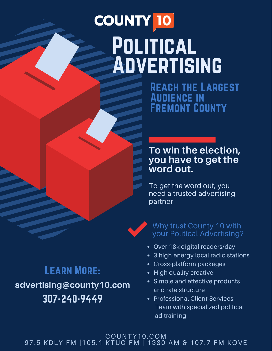# **COUNTY 10** Political Advertising

REACH THE LARGEST Audience in Fremont County

# **To win the election, you have to get the word out.**

To get the word out, you need a trusted advertising partner



# Why trust County 10 with your Political Advertising?

- Over 18k digital readers/day
- 3 high energy local radio stations
- Cross-platform packages
- High quality creative
- Simple and effective products and rate structure
- Professional Client Services Team with specialized political ad training

COUNTY10.COM 97.5 KDLY FM |105.1 KTUG FM | 1330 AM & 107.7 FM KOVE

# Learn More: 307-240-9449 **advertising@county10.com**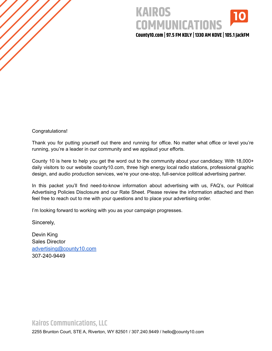# **KAIROS COMMUNICATIONS**

**County10.com | 97.5 FM KDLY | 1330 AM KOVE | 105.1 JackFM**

Congratulations!

Thank you for putting yourself out there and running for office. No matter what office or level you're running, you're a leader in our community and we applaud your efforts.

County 10 is here to help you get the word out to the community about your candidacy. With 18,000+ daily visitors to our website county10.com, three high energy local radio stations, professional graphic design, and audio production services, we're your one-stop, full-service political advertising partner.

In this packet you'll find need-to-know information about advertising with us, FAQ's, our Political Advertising Policies Disclosure and our Rate Sheet. Please review the information attached and then feel free to reach out to me with your questions and to place your advertising order.

I'm looking forward to working with you as your campaign progresses.

Sincerely,

Devin King Sales Director [advertising@county10.com](mailto:advertising@county10.com) 307-240-9449

#### **Kairos Communications, LLC**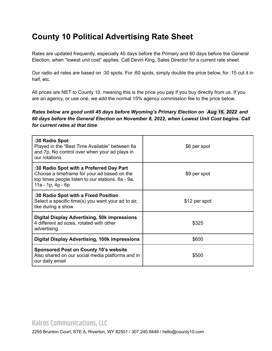# **County 10 Political Advertising Rate Sheet**

Rates are updated frequently, especially 45 days before the Primary and 60 days before the General Election, when "lowest unit cost" applies. Call Devin King, Sales Director for a current rate sheet.

Our radio ad rates are based on :30 spots. For :60 spots, simply double the price below, for :15 cut it in half, etc.

All prices are NET to County 10, meaning this is the price you pay if you buy directly from us. If you are an agency, or use one, we add the normal 15% agency commission fee to the price below.

*Rates below are good until 45 days before Wyoming's Primary Election on Aug 16, 2022 and 60 days before the General Election on November 8, 2022, when Lowest Unit Cost begins. Call for current rates at that time.*

| :30 Radio Spot<br>Played in the "Best Time Available" between 6a<br>and 7p. No control over when your ad plays in<br>our rotations                                     | \$6 per spot  |
|------------------------------------------------------------------------------------------------------------------------------------------------------------------------|---------------|
| :30 Radio Spot with a Preferred Day Part<br>Choose a timeframe for your ad based on the<br>top times people listen to our stations. 6a - 9a,<br>$11a - 1p$ , $4p - 6p$ | \$9 per spot  |
| :30 Radio Spot with a Fixed Position<br>Select a specific time(s) you want your ad to air,<br>like during a show                                                       | \$12 per spot |
| <b>Digital Display Advertising, 50k impressions</b><br>4 different ad sizes, rotated with other<br>advertising.                                                        | \$325         |
| <b>Digital Display Advertising, 100k impressions</b>                                                                                                                   | \$600         |
| <b>Sponsored Post on County 10's website</b><br>Also shared on our social media platforms and in<br>our daily email                                                    | \$500         |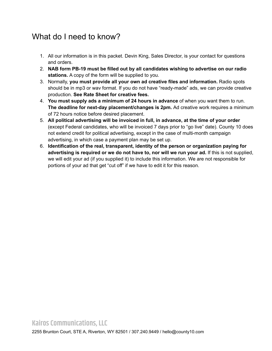# What do I need to know?

- 1. All our information is in this packet. Devin King, Sales Director, is your contact for questions and orders.
- 2. **NAB form PB-19 must be filled out by all candidates wishing to advertise on our radio stations.** A copy of the form will be supplied to you.
- 3. Normally, **you must provide all your own ad creative files and information.** Radio spots should be in mp3 or wav format. If you do not have "ready-made" ads, we can provide creative production. **See Rate Sheet for creative fees.**
- 4. **You must supply ads a minimum of 24 hours in advance** of when you want them to run. **The deadline for next-day placement/changes is 2pm.** Ad creative work requires a minimum of 72 hours notice before desired placement.
- 5. **All political advertising will be invoiced in full, in advance, at the time of your order** (except Federal candidates, who will be invoiced 7 days prior to "go live" date). County 10 does not extend credit for political advertising, except in the case of multi-month campaign advertising, in which case a payment plan may be set up.
- 6. **Identification of the real, transparent, identity of the person or organization paying for advertising is required or we do not have to, nor will we run your ad.** If this is not supplied, we will edit your ad (if you supplied it) to include this information. We are not responsible for portions of your ad that get "cut off" if we have to edit it for this reason.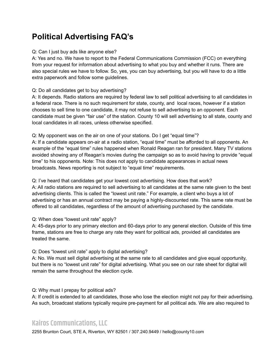# **Political Advertising FAQ's**

#### Q: Can I just buy ads like anyone else?

A: Yes and no. We have to report to the Federal Communications Commission (FCC) on everything from your request for information about advertising to what you buy and whether it runs. There are also special rules we have to follow. So, yes, you can buy advertising, but you will have to do a little extra paperwork and follow some guidelines.

#### Q: Do all candidates get to buy advertising?

A: It depends. Radio stations are required by federal law to sell political advertising to all candidates in a federal race. There is no such requirement for state, county, and local races, however if a station chooses to sell time to one candidate, it may not refuse to sell advertising to an opponent. Each candidate must be given "fair use" of the station. County 10 will sell advertising to all state, county and local candidates in all races, unless otherwise specified.

#### Q: My opponent was on the air on one of your stations. Do I get "equal time"?

A: If a candidate appears on-air at a radio station, "equal time" must be afforded to all opponents. An example of the "equal time" rules happened when Ronald Reagan ran for president. Many TV stations avoided showing any of Reagan's movies during the campaign so as to avoid having to provide "equal time" to his opponents. Note: This does not apply to candidate appearances in actual news broadcasts. News reporting is not subject to "equal time" requirements.

Q: I've heard that candidates get your lowest cost advertising. How does that work? A: All radio stations are required to sell advertising to all candidates at the same rate given to the best advertising clients. This is called the "lowest unit rate." For example, a client who buys a lot of advertising or has an annual contract may be paying a highly-discounted rate. This same rate must be offered to all candidates, regardless of the amount of advertising purchased by the candidate.

#### Q: When does "lowest unit rate" apply?

A: 45-days prior to any primary election and 60-days prior to any general election. Outside of this time frame, stations are free to charge any rate they want for political ads, provided all candidates are treated the same.

#### Q: Does "lowest unit rate" apply to digital advertising?

A: No. We must sell digital advertising at the same rate to all candidates and give equal opportunity, but there is no "lowest unit rate" for digital advertising. What you see on our rate sheet for digital will remain the same throughout the election cycle.

#### Q: Why must I prepay for political ads?

A: If credit is extended to all candidates, those who lose the election might not pay for their advertising. As such, broadcast stations typically require pre-payment for all political ads. We are also required to

## **Kairos Communications, LLC**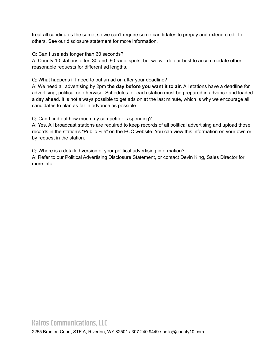treat all candidates the same, so we can't require some candidates to prepay and extend credit to others. See our disclosure statement for more information.

Q: Can I use ads longer than 60 seconds?

A: County 10 stations offer :30 and :60 radio spots, but we will do our best to accommodate other reasonable requests for different ad lengths.

Q: What happens if I need to put an ad on after your deadline?

A: We need all advertising by 2pm **the day before you want it to air.** All stations have a deadline for advertising, political or otherwise. Schedules for each station must be prepared in advance and loaded a day ahead. It is not always possible to get ads on at the last minute, which is why we encourage all candidates to plan as far in advance as possible.

Q: Can I find out how much my competitor is spending?

A: Yes. All broadcast stations are required to keep records of all political advertising and upload those records in the station's "Public File" on the FCC website. You can view this information on your own or by request in the station.

Q: Where is a detailed version of your political advertising information?

A: Refer to our Political Advertising Disclosure Statement, or contact Devin King, Sales Director for more info.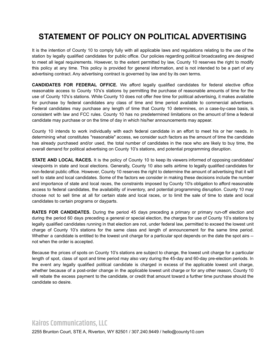# **STATEMENT OF POLICY ON POLITICAL ADVERTISING**

It is the intention of County 10 to comply fully with all applicable laws and regulations relating to the use of the station by legally qualified candidates for public office. Our policies regarding political broadcasting are designed to meet all legal requirements. However, to the extent permitted by law, County 10 reserves the right to modify this policy at any time. This policy is provided for general information, and is not intended to be a part of any advertising contract. Any advertising contract is governed by law and by its own terms.

**CANDIDATES FOR FEDERAL OFFICE.** We afford legally qualified candidates for federal elective office reasonable access to County 10's's stations by permitting the purchase of reasonable amounts of time for the use of County 10's's stations. While County 10 does not offer *free* time for political advertising, it makes available for purchase by federal candidates any class of time and time period available to commercial advertisers. Federal candidates may purchase any length of time that County 10 determines, on a case-by-case basis, is consistent with law and FCC rules. County 10 has no predetermined limitations on the amount of time a federal candidate may purchase or on the time of day in which his/her announcements may appear.

County 10 intends to work individually with each federal candidate in an effort to meet his or her needs. In determining what constitutes "reasonable" access, we consider such factors as the amount of time the candidate has already purchased and/or used, the total number of candidates in the race who are likely to buy time, the overall demand for political advertising on County 10's stations, and potential programming disruption.

**STATE AND LOCAL RACES.** It is the policy of County 10 to keep its viewers informed of opposing candidates' viewpoints in state and local elections. Generally, County 10 also sells airtime to legally qualified candidates for non-federal public office. However, County 10 reserves the right to determine the amount of advertising that it will sell to state and local candidates. Some of the factors we consider in making these decisions include the number and importance of state and local races, the constraints imposed by County 10's obligation to afford reasonable access to federal candidates, the availability of inventory, and potential programming disruption. County 10 may choose not to sell time at all for certain state and local races, or to limit the sale of time to state and local candidates to certain programs or dayparts.

**RATES FOR CANDIDATES.** During the period 45 days preceding a primary or primary run-off election and during the period 60 days preceding a general or special election, the charges for use of County 10's stations by legally qualified candidates running in that election are not, under federal law, permitted to exceed the lowest unit charge of County 10's stations for the same class and length of announcement for the same time period. Whether a candidate is entitled to the lowest unit charge for a particular spot depends on the date the spot airs -not when the order is accepted.

Because the prices of spots on County 10's stations are subject to change, the lowest unit charge for a particular length of spot, class of spot and time period may also vary during the 45-day and 60-day pre-election periods. In the event any legally qualified political candidate is charged in excess of the applicable lowest unit charge, whether because of a post-order change in the applicable lowest unit charge or for any other reason, County 10 will rebate the excess payment to the candidate, or credit that amount toward a further time purchase should the candidate so desire.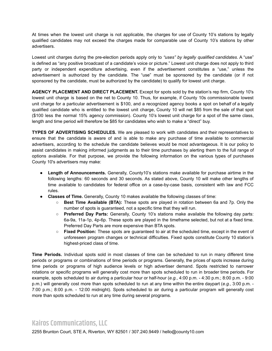At times when the lowest unit charge is not applicable, the charges for use of County 10's stations by legally qualified candidates may not exceed the charges made for comparable use of County 10's stations by other advertisers.

Lowest unit charges during the pre-election periods apply only to *"uses" by legally qualified candidates*. A "use" is defined as "any positive broadcast of a candidate's voice or picture." Lowest unit charge does not apply to third party or independent expenditure advertising, even if the advertisement constitutes a "use," unless the advertisement is authorized by the candidate. The "use" must be sponsored by the candidate (or if not sponsored by the candidate, must be authorized by the candidate) to qualify for lowest unit charge.

**AGENCY PLACEMENT AND DIRECT PLACEMENT.** Except for spots sold by the station's rep firm, County 10's lowest unit charge is based on the net to County 10. Thus, for example, if County 10s commissionable lowest unit charge for a particular advertisement is \$100, and a recognized agency books a spot on behalf of a legally qualified candidate who is entitled to the lowest unit charge, County 10 will net \$85 from the sale of that spot (\$100 less the normal 15% agency commission). County 10's lowest unit charge for a spot of the same class, length and time period will therefore be \$85 for candidates who wish to make a "direct" buy.

**TYPES OF ADVERTISING SCHEDULES.** We are pleased to work with candidates and their representatives to ensure that the candidate is aware of and is able to make any purchase of time available to commercial advertisers, according to the schedule the candidate believes would be most advantageous. It is our policy to assist candidates in making informed judgments as to their time purchases by alerting them to the full range of options available. For that purpose, we provide the following information on the various types of purchases County 10's advertisers may make:

- **Length of Announcements.** Generally, County10's stations make available for purchase airtime in the following lengths: 60 seconds and 30 seconds. As stated above, County 10 will make other lengths of time available to candidates for federal office on a case-by-case basis, consistent with law and FCC rules.
- **Classes of Time.** Generally, County 10 makes available the following classes of time:
	- **Best Time Available (BTA):** These spots are played in rotation between 6a and 7p. Only the number of spots is guaranteed, not a specific time that they will run.
	- **Preferred Day Parts:** Generally, County 10's stations make available the following day parts: 6a-9a, 11a-1p, 4p-6p. These spots are played in the timeframe selected, but not at a fixed time. Preferred Day Parts are more expensive than BTA spots.
	- **Fixed Position:** These spots are guaranteed to air at the scheduled time, except in the event of unforeseen program changes or technical difficulties. Fixed spots constitute County 10 station's highest-priced class of time.

**Time Periods.** Individual spots sold in most classes of time can be scheduled to run in many different time periods or programs or combinations of time periods or programs. Generally, the prices of spots increase during time periods or programs of high audience levels or high advertiser demand. Spots restricted to narrower rotations or specific programs will generally cost more than spots scheduled to run in broader time periods. For example, spots scheduled to air during a particular hour or half-hour (*e.g.*, 4:00 p.m. - 4:30 p.m.; 8:00 p.m. - 9:00 p.m.) will generally cost more than spots scheduled to run at any time within the entire daypart (*e.g.*, 3:00 p.m. - 7:00 p.m.; 8:00 p.m. - 12:00 midnight). Spots scheduled to air during a particular program will generally cost more than spots scheduled to run at any time during several programs.

### **Kairos Communications, LLC**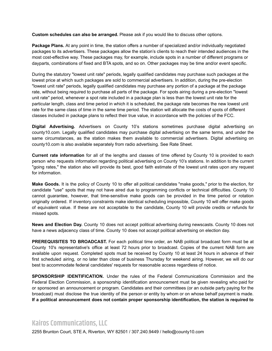**Custom schedules can also be arranged.** Please ask if you would like to discuss other options.

**Package Plans.** At any point in time, the station offers a number of specialized and/or individually negotiated packages to its advertisers. These packages allow the station's clients to reach their intended audiences in the most cost-effective way. These packages may, for example, include spots in a number of different programs or dayparts, combinations of fixed and BTA spots, and so on. Other packages may be time and/or event specific.

During the statutory "lowest unit rate" periods, legally qualified candidates may purchase such packages at the lowest price at which such packages are sold to commercial advertisers. In addition, during the pre-election "lowest unit rate" periods, legally qualified candidates may purchase any portion of a package at the package rate, without being required to purchase all parts of the package. For spots airing during a pre-election "lowest unit rate" period, whenever a spot rate included in a package plan is less than the lowest unit rate for the particular length, class and time period in which it is scheduled, the package rate becomes the new lowest unit rate for the same class of time in the same time period. The station will allocate the costs of spots of different classes included in package plans to reflect their true value, in accordance with the policies of the FCC.

**Digital Advertising.** Advertisers on County 10's stations sometimes purchase digital advertising on county10.com. Legally qualified candidates may purchase digital advertising on the same terms, and under the same circumstances, as the station makes them available to commercial advertisers. Digital advertising on county10.com is also available separately from radio advertising. See Rate Sheet.

**Current rate information** for all of the lengths and classes of time offered by County 10 is provided to each person who requests information regarding political advertising on County 10's stations. In addition to the current "going rates," the station also will provide its best, good faith estimate of the lowest unit rates upon any request for information.

**Make Goods.** It is the policy of County 10 to offer all political candidates "make goods," prior to the election, for candidate "use" spots that may not have aired due to programming conflicts or technical difficulties. County 10 cannot guarantee, however, that time-sensitive make goods can be provided in the time period or rotation originally ordered. If inventory constraints make identical scheduling impossible, County 10 will offer make goods of equivalent value. If these are not acceptable to the candidate, County 10 will provide credits or refunds for missed spots.

**News and Election Day.** County 10 does not accept political advertising during newscasts. County 10 does not have a news adjacency class of time. County 10 does not accept political advertising on election day.

**PREREQUISITES TO BROADCAST.** For each political time order, an NAB political broadcast form must be at County 10's representative's office at least 72 hours prior to broadcast. Copies of the current NAB form are available upon request. Completed spots must be received by County 10 at least 24 hours in advance of their first scheduled airing, or no later than close of business Thursday for weekend airing. However, we will do our best to accommodate federal candidates' requests for reasonable access regardless of notice.

**SPONSORSHIP IDENTIFICATION.** Under the rules of the Federal Communications Commission and the Federal Election Commission, a sponsorship identification announcement must be given revealing who paid for or sponsored an announcement or program. Candidates and their committees (or an outside party paying for the broadcast) must disclose the true identity of the person or entity by whom or on whose behalf payment is made. **If a political announcement does not contain proper sponsorship identification, the station is required to**

### **Kairos Communications, LLC**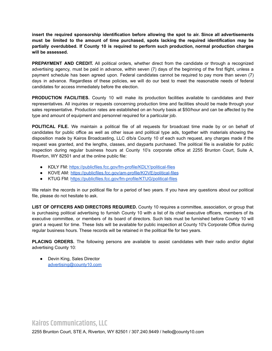**insert the required sponsorship identification before allowing the spot to air. Since all advertisements must be limited to the amount of time purchased, spots lacking the required identification may be partially overdubbed. If County 10 is required to perform such production, normal production charges will be assessed.**

**PREPAYMENT AND CREDIT.** All political orders, whether direct from the candidate or through a recognized advertising agency, must be paid in advance, within seven (7) days of the beginning of the first flight, unless a payment schedule has been agreed upon. Federal candidates cannot be required to pay more than seven (7) days in advance. Regardless of these policies, we will do our best to meet the reasonable needs of federal candidates for access immediately before the election.

**PRODUCTION FACILITIES.** County 10 will make its production facilities available to candidates and their representatives. All inquiries or requests concerning production time and facilities should be made through your sales representative. Production rates are established on an hourly basis at \$50/hour and can be affected by the type and amount of equipment and personnel required for a particular job.

**POLITICAL FILE.** We maintain a political file of all requests for broadcast time made by or on behalf of candidates for public office as well as other issue and political type ads, together with materials showing the disposition made by Kairos Broadcasting, LLC d/b/a County 10 of each such request, any charges made if the request was granted, and the lengths, classes, and dayparts purchased. The political file is available for public inspection during regular business hours at County 10's corporate office at 2255 Brunton Court, Suite A, Riverton, WY 82501 and at the online public file:

- KDLY FM: <https://publicfiles.fcc.gov/fm-profile/KDLY/political-files>
- KOVE AM: <https://publicfiles.fcc.gov/am-profile/KOVE/political-files>
- KTUG FM: <https://publicfiles.fcc.gov/fm-profile/KTUG/political-files>

We retain the records in our political file for a period of two years. If you have any questions about our political file, please do not hesitate to ask.

**LIST OF OFFICERS AND DIRECTORS REQUIRED.** County 10 requires a committee, association, or group that is purchasing political advertising to furnish County 10 with a list of its chief executive officers, members of its executive committee, or members of its board of directors. Such lists must be furnished before County 10 will grant a request for time. These lists will be available for public inspection at County 10's Corporate Office during regular business hours. These records will be retained in the political file for two years.

**PLACING ORDERS.** The following persons are available to assist candidates with their radio and/or digital advertising County 10:

● Devin King, Sales Director [advertising@county10.com](mailto:advertising@county10.com)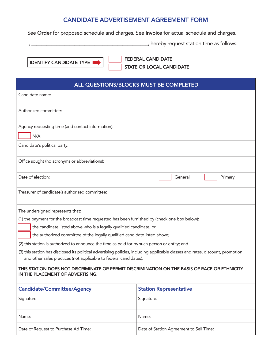#### CANDIDATE ADVERTISEMENT AGREEMENT FORM

See Order for proposed schedule and charges. See Invoice for actual schedule and charges.

I, \_\_\_\_\_\_\_\_\_\_\_\_\_\_\_\_\_\_\_\_\_\_\_\_\_\_\_\_\_\_\_\_\_\_\_\_\_\_\_\_\_\_\_\_\_\_, hereby request station time as follows:

IDENTIFY CANDIDATE TYPE  $\blacksquare$  FEDERAL CANDIDATE STATE OR LOCAL CANDIDATE

| ALL QUESTIONS/BLOCKS MUST BE COMPLETED                                                                                                                                                              |                               |  |
|-----------------------------------------------------------------------------------------------------------------------------------------------------------------------------------------------------|-------------------------------|--|
| Candidate name:                                                                                                                                                                                     |                               |  |
| Authorized committee:                                                                                                                                                                               |                               |  |
| Agency requesting time (and contact information):                                                                                                                                                   |                               |  |
| N/A                                                                                                                                                                                                 |                               |  |
| Candidate's political party:                                                                                                                                                                        |                               |  |
| Office sought (no acronyms or abbreviations):                                                                                                                                                       |                               |  |
| Date of election:                                                                                                                                                                                   | General<br>Primary            |  |
| Treasurer of candidate's authorized committee:                                                                                                                                                      |                               |  |
| The undersigned represents that:                                                                                                                                                                    |                               |  |
| (1) the payment for the broadcast time requested has been furnished by (check one box below):                                                                                                       |                               |  |
| the candidate listed above who is a legally qualified candidate, or                                                                                                                                 |                               |  |
| the authorized committee of the legally qualified candidate listed above;                                                                                                                           |                               |  |
| (2) this station is authorized to announce the time as paid for by such person or entity; and                                                                                                       |                               |  |
| (3) this station has disclosed its political advertising policies, including applicable classes and rates, discount, promotion<br>and other sales practices (not applicable to federal candidates). |                               |  |
| THIS STATION DOES NOT DISCRIMINATE OR PERMIT DISCRIMINATION ON THE BASIS OF RACE OR ETHNICITY<br>IN THE PLACEMENT OF ADVERTISING.                                                                   |                               |  |
| <b>Candidate/Committee/Agency</b>                                                                                                                                                                   | <b>Station Representative</b> |  |
| Signature:                                                                                                                                                                                          | Signature:                    |  |
| Name:                                                                                                                                                                                               | Name:                         |  |

Date of Request to Purchase Ad Time: <br>
Date of Station Agreement to Sell Time: